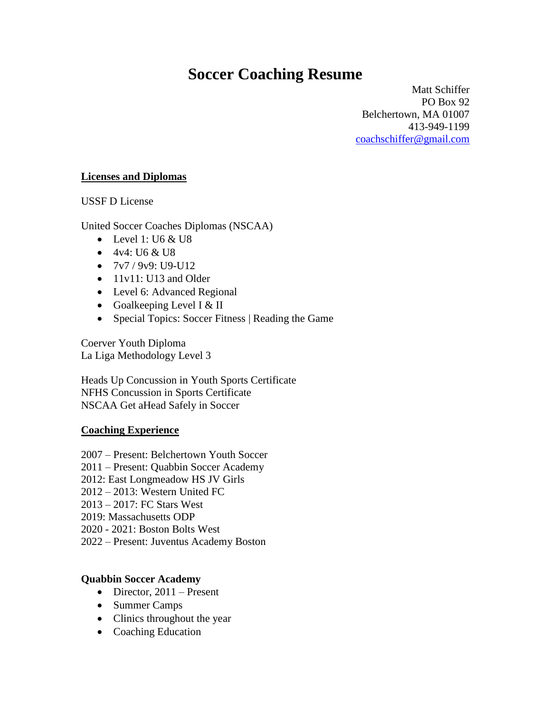# **Soccer Coaching Resume**

Matt Schiffer PO Box 92 Belchertown, MA 01007 413-949-1199 [coachschiffer@gmail.com](mailto:coachschiffer@gmail.com)

### **Licenses and Diplomas**

USSF D License

United Soccer Coaches Diplomas (NSCAA)

- $\bullet$  Level 1: U6 & U8
- 4v4: U6 & U8
- $\bullet$  7v7 / 9v9: U9-U12
- 11v11: U13 and Older
- Level 6: Advanced Regional
- Goalkeeping Level I  $&$  II
- Special Topics: Soccer Fitness | Reading the Game

Coerver Youth Diploma La Liga Methodology Level 3

Heads Up Concussion in Youth Sports Certificate NFHS Concussion in Sports Certificate NSCAA Get aHead Safely in Soccer

# **Coaching Experience**

- 2007 Present: Belchertown Youth Soccer
- 2011 Present: Quabbin Soccer Academy
- 2012: East Longmeadow HS JV Girls
- 2012 2013: Western United FC
- 2013 2017: FC Stars West
- 2019: Massachusetts ODP
- 2020 2021: Boston Bolts West
- 2022 Present: Juventus Academy Boston

# **Quabbin Soccer Academy**

- Director,  $2011$  Present
- Summer Camps
- Clinics throughout the year
- Coaching Education